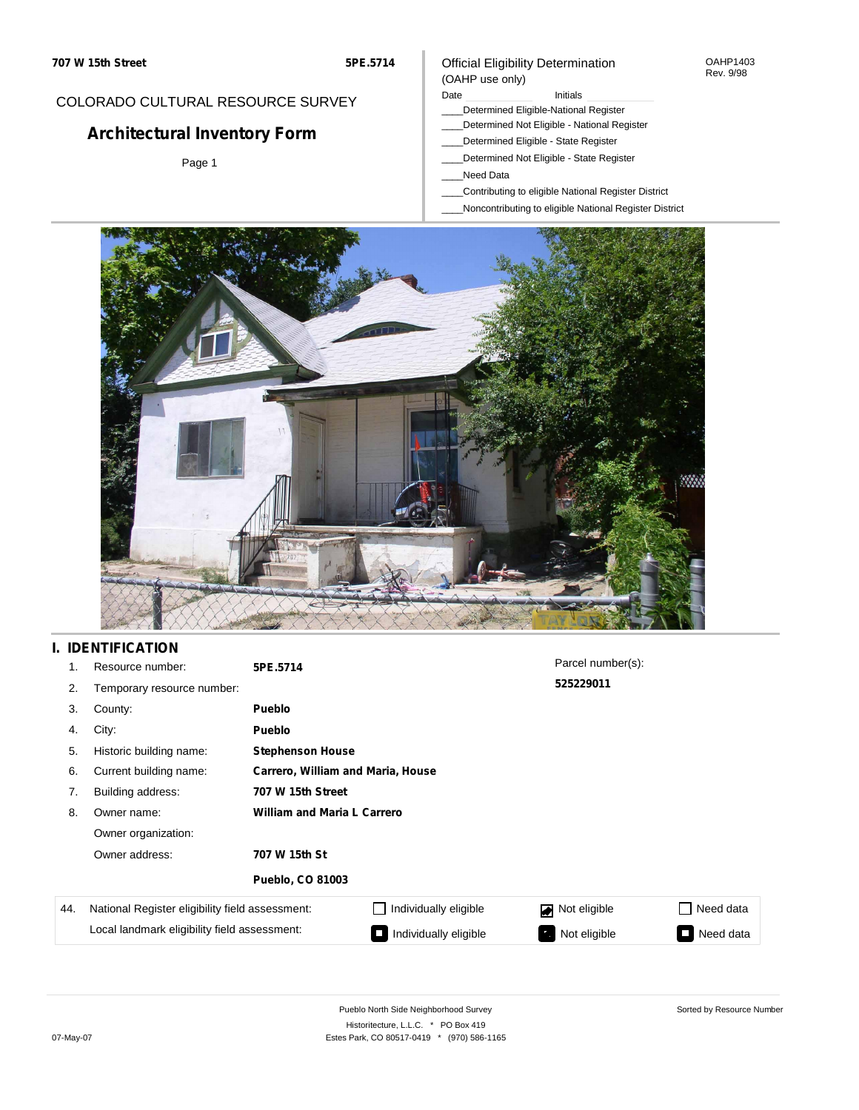#### OAHP1403 Rev. 9/98

### COLORADO CULTURAL RESOURCE SURVEY

# **Architectural Inventory Form**

Page 1

#### (OAHP use only) Date **Initials** Initials

\_\_\_\_Determined Eligible-National Register

Official Eligibility Determination

- \_\_\_\_Determined Not Eligible National Register
- \_\_\_\_Determined Eligible State Register
- \_\_\_\_Determined Not Eligible State Register
- \_\_\_\_Need Data
- \_\_\_\_Contributing to eligible National Register District
- \_\_\_\_Noncontributing to eligible National Register District



### **I. IDENTIFICATION**

| 1.  | Resource number:                                | 5PE.5714                           |                       | Parcel number(s): |           |  |  |  |
|-----|-------------------------------------------------|------------------------------------|-----------------------|-------------------|-----------|--|--|--|
| 2.  | Temporary resource number:                      |                                    |                       | 525229011         |           |  |  |  |
| 3.  | County:                                         | <b>Pueblo</b>                      |                       |                   |           |  |  |  |
| 4.  | City:                                           | <b>Pueblo</b>                      |                       |                   |           |  |  |  |
| 5.  | Historic building name:                         | <b>Stephenson House</b>            |                       |                   |           |  |  |  |
| 6.  | Current building name:                          | Carrero, William and Maria, House  |                       |                   |           |  |  |  |
| 7.  | Building address:                               | 707 W 15th Street                  |                       |                   |           |  |  |  |
| 8.  | Owner name:                                     | <b>William and Maria L Carrero</b> |                       |                   |           |  |  |  |
|     | Owner organization:                             |                                    |                       |                   |           |  |  |  |
|     | Owner address:                                  | 707 W 15th St                      |                       |                   |           |  |  |  |
|     |                                                 | <b>Pueblo, CO 81003</b>            |                       |                   |           |  |  |  |
| 44. | National Register eligibility field assessment: |                                    | Individually eligible | Not eligible      | Need data |  |  |  |
|     | Local landmark eligibility field assessment:    |                                    | Individually eligible | Not eligible      | Need data |  |  |  |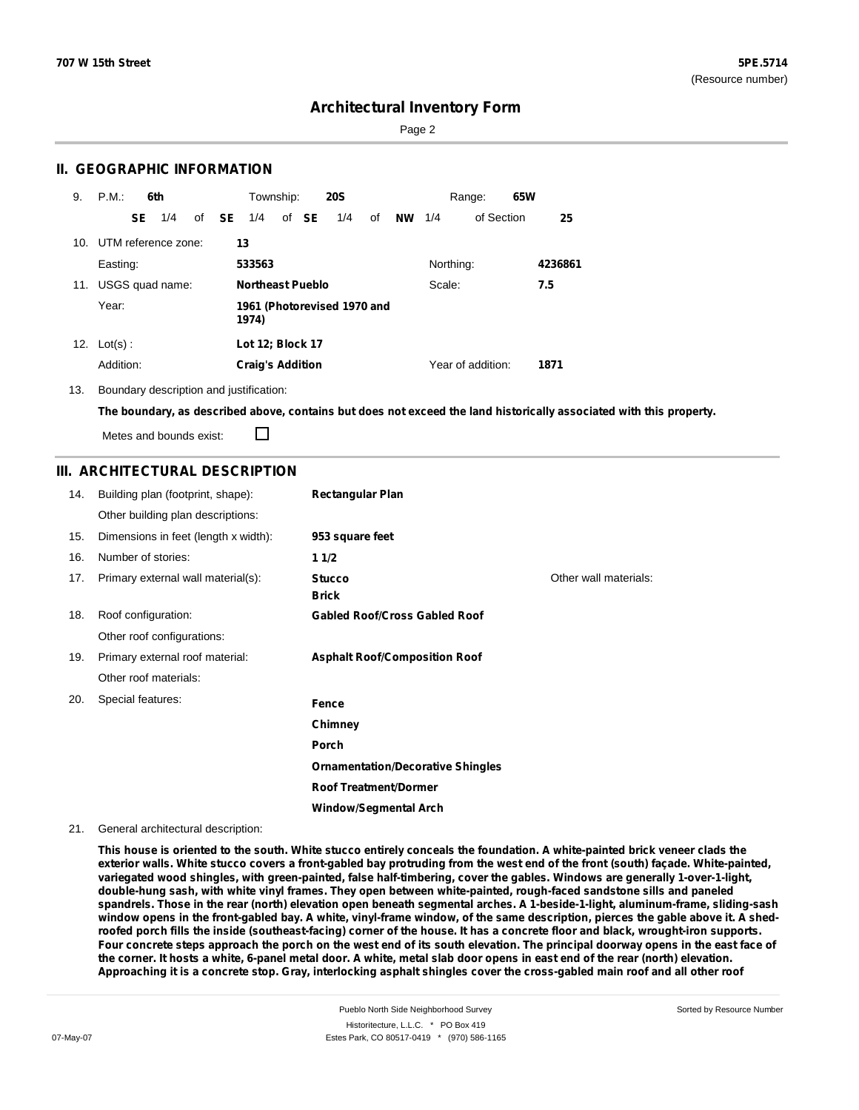Page 2

### **II. GEOGRAPHIC INFORMATION**

| 9.  | P.M.                    |    | 6th             |              | Township:                            |  |       | <b>20S</b> |    |           |           | Range:            | 65W |         |
|-----|-------------------------|----|-----------------|--------------|--------------------------------------|--|-------|------------|----|-----------|-----------|-------------------|-----|---------|
|     |                         | SE | 1/4             | of <b>SE</b> | 1/4                                  |  | of SE | 1/4        | οf | <b>NW</b> | 1/4       | of Section        |     | 25      |
|     | 10. UTM reference zone: |    |                 |              | 13                                   |  |       |            |    |           |           |                   |     |         |
|     | Easting:                |    |                 |              | 533563                               |  |       |            |    |           | Northing: |                   |     | 4236861 |
| 11. |                         |    | USGS quad name: |              | <b>Northeast Pueblo</b><br>Scale:    |  |       |            |    | 7.5       |           |                   |     |         |
|     | Year:                   |    |                 |              | 1961 (Photorevised 1970 and<br>1974) |  |       |            |    |           |           |                   |     |         |
| 12. | $Lot(s)$ :              |    |                 |              | Lot 12; Block 17                     |  |       |            |    |           |           |                   |     |         |
|     | Addition:               |    |                 |              | <b>Craig's Addition</b>              |  |       |            |    |           |           | Year of addition: |     | 1871    |

13. Boundary description and justification:

The boundary, as described above, contains but does not exceed the land historically associated with this property.

Metes and bounds exist:

П

### **III. ARCHITECTURAL DESCRIPTION**

| 14. | Building plan (footprint, shape):    | <b>Rectangular Plan</b>                  |                       |
|-----|--------------------------------------|------------------------------------------|-----------------------|
|     | Other building plan descriptions:    |                                          |                       |
| 15. | Dimensions in feet (length x width): | 953 square feet                          |                       |
| 16. | Number of stories:                   | 11/2                                     |                       |
| 17. | Primary external wall material(s):   | <b>Stucco</b><br><b>Brick</b>            | Other wall materials: |
| 18. | Roof configuration:                  | <b>Gabled Roof/Cross Gabled Roof</b>     |                       |
|     | Other roof configurations:           |                                          |                       |
| 19. | Primary external roof material:      | <b>Asphalt Roof/Composition Roof</b>     |                       |
|     | Other roof materials:                |                                          |                       |
| 20. | Special features:                    | Fence                                    |                       |
|     |                                      | Chimney                                  |                       |
|     |                                      | Porch                                    |                       |
|     |                                      | <b>Ornamentation/Decorative Shingles</b> |                       |
|     |                                      | <b>Roof Treatment/Dormer</b>             |                       |
|     |                                      | <b>Window/Segmental Arch</b>             |                       |

21. General architectural description:

This house is oriented to the south. White stucco entirely conceals the foundation. A white-painted brick veneer clads the exterior walls. White stucco covers a front-gabled bay protruding from the west end of the front (south) façade. White-painted, **variegated wood shingles, with green-painted, false half-timbering, cover the gables. Windows are generally 1-over-1-light, double-hung sash, with white vinyl frames. They open between white-painted, rough-faced sandstone sills and paneled** spandrels. Those in the rear (north) elevation open beneath segmental arches. A 1-beside-1-light, aluminum-frame, sliding-sash window opens in the front-gabled bay. A white, vinyl-frame window, of the same description, pierces the gable above it. A shedroofed porch fills the inside (southeast-facing) corner of the house. It has a concrete floor and black, wrought-iron supports. Four concrete steps approach the porch on the west end of its south elevation. The principal doorway opens in the east face of the corner. It hosts a white, 6-panel metal door. A white, metal slab door opens in east end of the rear (north) elevation. Approaching it is a concrete stop. Gray, interlocking asphalt shingles cover the cross-gabled main roof and all other roof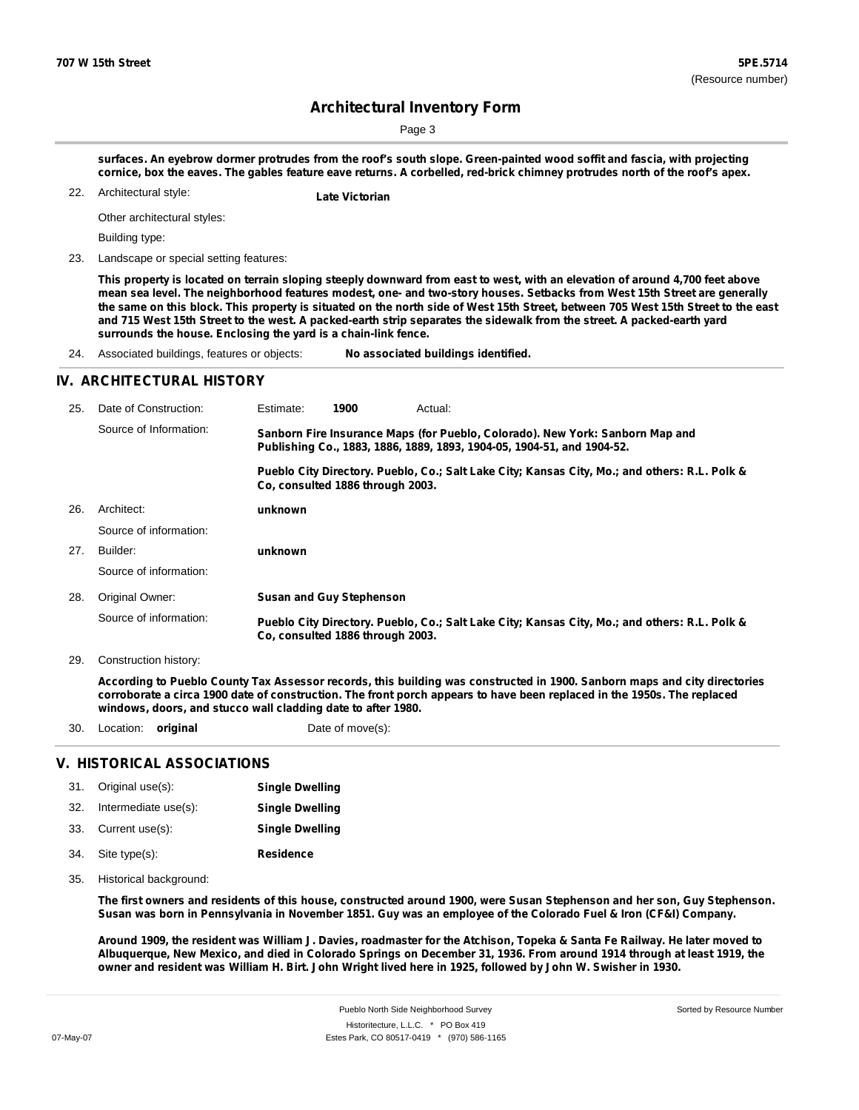Page 3

surfaces. An eyebrow dormer protrudes from the roof's south slope. Green-painted wood soffit and fascia, with projecting cornice, box the eaves. The gables feature eave returns. A corbelled, red-brick chimney protrudes north of the roof's apex.

Architectural style: 22. **Late Victorian**

Other architectural styles:

Building type:

23. Landscape or special setting features:

This property is located on terrain sloping steeply downward from east to west, with an elevation of around 4,700 feet above mean sea level. The neighborhood features modest, one- and two-story houses. Setbacks from West 15th Street are generally the same on this block. This property is situated on the north side of West 15th Street, between 705 West 15th Street to the east and 715 West 15th Street to the west. A packed-earth strip separates the sidewalk from the street. A packed-earth yard **surrounds the house. Enclosing the yard is a chain-link fence.**

24. Associated buildings, features or objects: **No associated buildings identified.**

#### **IV. ARCHITECTURAL HISTORY**

| 25. | Date of Construction:  | Estimate:                                                                                                                                               | 1900                             | Actual:                                                                                       |  |  |
|-----|------------------------|---------------------------------------------------------------------------------------------------------------------------------------------------------|----------------------------------|-----------------------------------------------------------------------------------------------|--|--|
|     | Source of Information: | Sanborn Fire Insurance Maps (for Pueblo, Colorado). New York: Sanborn Map and<br>Publishing Co., 1883, 1886, 1889, 1893, 1904-05, 1904-51, and 1904-52. |                                  |                                                                                               |  |  |
|     |                        |                                                                                                                                                         | Co. consulted 1886 through 2003. | Pueblo City Directory. Pueblo, Co.; Salt Lake City; Kansas City, Mo.; and others: R.L. Polk & |  |  |
| 26. | Architect:             | unknown                                                                                                                                                 |                                  |                                                                                               |  |  |
|     | Source of information: |                                                                                                                                                         |                                  |                                                                                               |  |  |
| 27. | Builder:               | unknown                                                                                                                                                 |                                  |                                                                                               |  |  |
|     | Source of information: |                                                                                                                                                         |                                  |                                                                                               |  |  |
| 28. | Original Owner:        |                                                                                                                                                         | <b>Susan and Guy Stephenson</b>  |                                                                                               |  |  |
|     | Source of information: |                                                                                                                                                         | Co. consulted 1886 through 2003. | Pueblo City Directory. Pueblo, Co.; Salt Lake City; Kansas City, Mo.; and others: R.L. Polk & |  |  |

29. Construction history:

According to Pueblo County Tax Assessor records, this building was constructed in 1900. Sanborn maps and city directories corroborate a circa 1900 date of construction. The front porch appears to have been replaced in the 1950s. The replaced **windows, doors, and stucco wall cladding date to after 1980.**

30. Location: **original** Date of move(s):

### **V. HISTORICAL ASSOCIATIONS**

| 31. | Original use(s):     | <b>Single Dwelling</b> |
|-----|----------------------|------------------------|
| 32. | Intermediate use(s): | <b>Single Dwelling</b> |
|     | 33. Current use(s):  | <b>Single Dwelling</b> |
| 34. | Site type(s):        | <b>Residence</b>       |

35. Historical background:

The first owners and residents of this house, constructed around 1900, were Susan Stephenson and her son, Guy Stephenson. Susan was born in Pennsylvania in November 1851. Guy was an employee of the Colorado Fuel & Iron (CF&I) Company.

Around 1909, the resident was William J. Davies, roadmaster for the Atchison, Topeka & Santa Fe Railway. He later moved to Albuquerque, New Mexico, and died in Colorado Springs on December 31, 1936. From around 1914 through at least 1919, the owner and resident was William H. Birt. John Wright lived here in 1925, followed by John W. Swisher in 1930.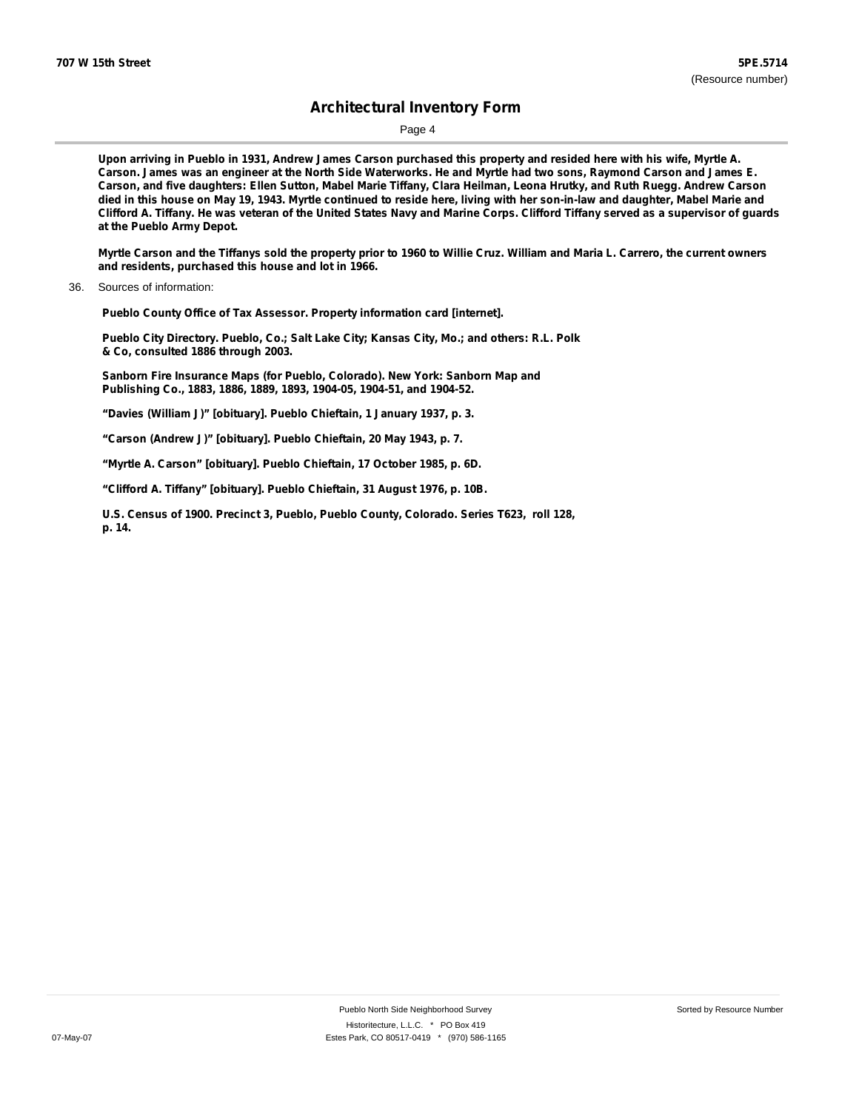Page 4

Upon arriving in Pueblo in 1931, Andrew James Carson purchased this property and resided here with his wife, Myrtle A. Carson. James was an engineer at the North Side Waterworks. He and Myrtle had two sons, Raymond Carson and James E. Carson, and five daughters: Ellen Sutton, Mabel Marie Tiffany, Clara Heilman, Leona Hrutky, and Ruth Ruegg. Andrew Carson died in this house on May 19, 1943. Myrtle continued to reside here, living with her son-in-law and daughter, Mabel Marie and Clifford A. Tiffany. He was veteran of the United States Navy and Marine Corps. Clifford Tiffany served as a supervisor of guards **at the Pueblo Army Depot.**

Myrtle Carson and the Tiffanys sold the property prior to 1960 to Willie Cruz. William and Maria L. Carrero, the current owners **and residents, purchased this house and lot in 1966.**

**Pueblo County Office of Tax Assessor. Property information card [internet].**

**Pueblo City Directory. Pueblo, Co.; Salt Lake City; Kansas City, Mo.; and others: R.L. Polk & Co, consulted 1886 through 2003.**

**Sanborn Fire Insurance Maps (for Pueblo, Colorado). New York: Sanborn Map and Publishing Co., 1883, 1886, 1889, 1893, 1904-05, 1904-51, and 1904-52.**

**"Davies (William J)" [obituary]. Pueblo Chieftain, 1 January 1937, p. 3.**

**"Carson (Andrew J)" [obituary]. Pueblo Chieftain, 20 May 1943, p. 7.**

**"Myrtle A. Carson" [obituary]. Pueblo Chieftain, 17 October 1985, p. 6D.**

**"Clifford A. Tiffany" [obituary]. Pueblo Chieftain, 31 August 1976, p. 10B.**

**U.S. Census of 1900. Precinct 3, Pueblo, Pueblo County, Colorado. Series T623, roll 128, p. 14.**

<sup>36.</sup> Sources of information: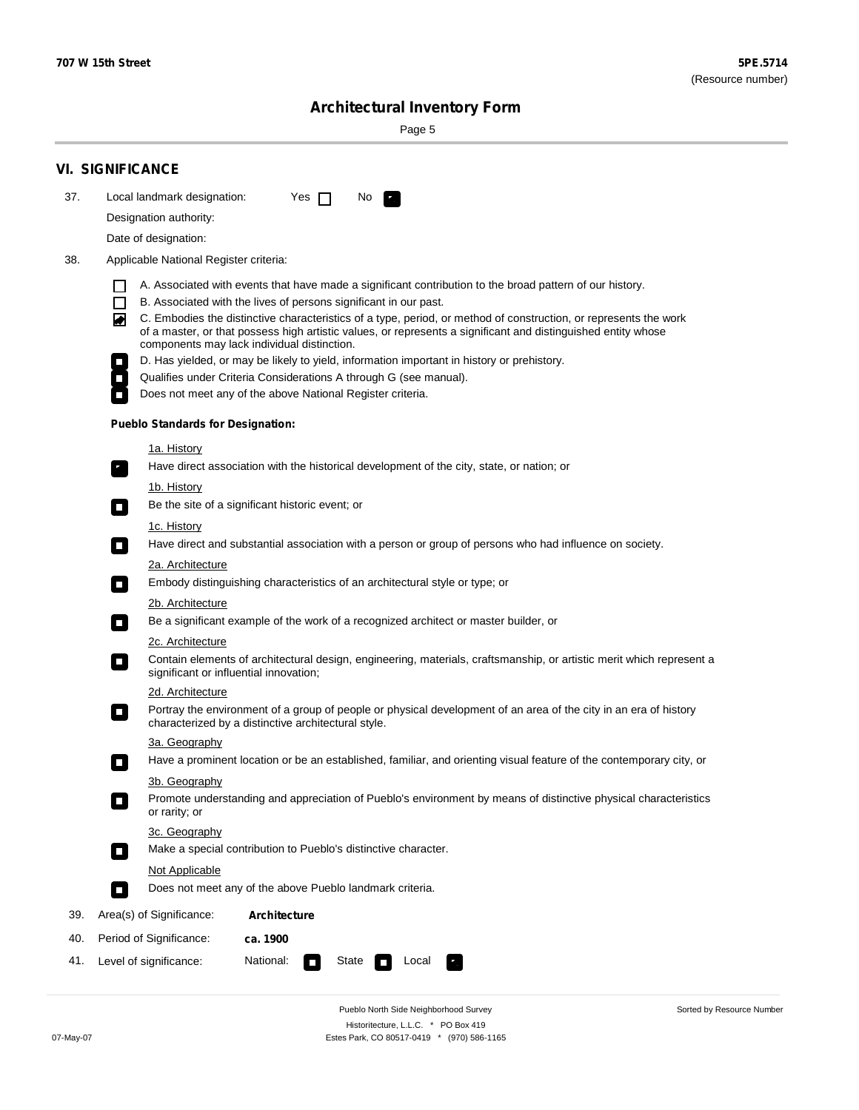٠

Sorted by Resource Number

# **Architectural Inventory Form**

Page 5

|     | <b>VI. SIGNIFICANCE</b>                                                                                                                                                                                                                                                          |  |  |  |  |  |  |  |
|-----|----------------------------------------------------------------------------------------------------------------------------------------------------------------------------------------------------------------------------------------------------------------------------------|--|--|--|--|--|--|--|
| 37. | Local landmark designation:<br>Yes $\Box$<br>No.                                                                                                                                                                                                                                 |  |  |  |  |  |  |  |
|     | Designation authority:                                                                                                                                                                                                                                                           |  |  |  |  |  |  |  |
|     | Date of designation:                                                                                                                                                                                                                                                             |  |  |  |  |  |  |  |
| 38. | Applicable National Register criteria:                                                                                                                                                                                                                                           |  |  |  |  |  |  |  |
|     | A. Associated with events that have made a significant contribution to the broad pattern of our history.<br>l.                                                                                                                                                                   |  |  |  |  |  |  |  |
|     | B. Associated with the lives of persons significant in our past.<br>$\Box$                                                                                                                                                                                                       |  |  |  |  |  |  |  |
|     | C. Embodies the distinctive characteristics of a type, period, or method of construction, or represents the work<br>of a master, or that possess high artistic values, or represents a significant and distinguished entity whose<br>components may lack individual distinction. |  |  |  |  |  |  |  |
|     | D. Has yielded, or may be likely to yield, information important in history or prehistory.                                                                                                                                                                                       |  |  |  |  |  |  |  |
|     | Qualifies under Criteria Considerations A through G (see manual).                                                                                                                                                                                                                |  |  |  |  |  |  |  |
|     | Does not meet any of the above National Register criteria.                                                                                                                                                                                                                       |  |  |  |  |  |  |  |
|     | <b>Pueblo Standards for Designation:</b>                                                                                                                                                                                                                                         |  |  |  |  |  |  |  |
|     | 1a. History                                                                                                                                                                                                                                                                      |  |  |  |  |  |  |  |
|     | Have direct association with the historical development of the city, state, or nation; or                                                                                                                                                                                        |  |  |  |  |  |  |  |
|     | <u>1b. History</u><br>Be the site of a significant historic event; or<br>$\mathcal{L}_{\mathcal{A}}$                                                                                                                                                                             |  |  |  |  |  |  |  |
|     | 1c. History                                                                                                                                                                                                                                                                      |  |  |  |  |  |  |  |
|     | Have direct and substantial association with a person or group of persons who had influence on society.                                                                                                                                                                          |  |  |  |  |  |  |  |
|     | 2a. Architecture                                                                                                                                                                                                                                                                 |  |  |  |  |  |  |  |
|     | Embody distinguishing characteristics of an architectural style or type; or<br>$\overline{\phantom{a}}$                                                                                                                                                                          |  |  |  |  |  |  |  |
|     | 2b. Architecture                                                                                                                                                                                                                                                                 |  |  |  |  |  |  |  |
|     | Be a significant example of the work of a recognized architect or master builder, or<br>$\sim$                                                                                                                                                                                   |  |  |  |  |  |  |  |
|     | 2c. Architecture                                                                                                                                                                                                                                                                 |  |  |  |  |  |  |  |
|     | Contain elements of architectural design, engineering, materials, craftsmanship, or artistic merit which represent a<br>О<br>significant or influential innovation;                                                                                                              |  |  |  |  |  |  |  |
|     | 2d. Architecture                                                                                                                                                                                                                                                                 |  |  |  |  |  |  |  |
|     | Portray the environment of a group of people or physical development of an area of the city in an era of history<br>$\Box$<br>characterized by a distinctive architectural style.                                                                                                |  |  |  |  |  |  |  |
|     | 3a. Geography                                                                                                                                                                                                                                                                    |  |  |  |  |  |  |  |
|     | Have a prominent location or be an established, familiar, and orienting visual feature of the contemporary city, or                                                                                                                                                              |  |  |  |  |  |  |  |
|     | 3b. Geography                                                                                                                                                                                                                                                                    |  |  |  |  |  |  |  |
|     | Promote understanding and appreciation of Pueblo's environment by means of distinctive physical characteristics<br>or rarity; or                                                                                                                                                 |  |  |  |  |  |  |  |
|     | 3c. Geography<br>Make a special contribution to Pueblo's distinctive character.<br>$\mathcal{L}_{\mathcal{A}}$                                                                                                                                                                   |  |  |  |  |  |  |  |
|     | Not Applicable                                                                                                                                                                                                                                                                   |  |  |  |  |  |  |  |
|     | Does not meet any of the above Pueblo landmark criteria.<br>$\overline{\phantom{a}}$                                                                                                                                                                                             |  |  |  |  |  |  |  |
| 39. | Area(s) of Significance:<br><b>Architecture</b>                                                                                                                                                                                                                                  |  |  |  |  |  |  |  |
| 40. | Period of Significance:<br>ca. 1900                                                                                                                                                                                                                                              |  |  |  |  |  |  |  |
| 41. | National:<br>Level of significance:<br>State<br>Local<br>т,<br>П                                                                                                                                                                                                                 |  |  |  |  |  |  |  |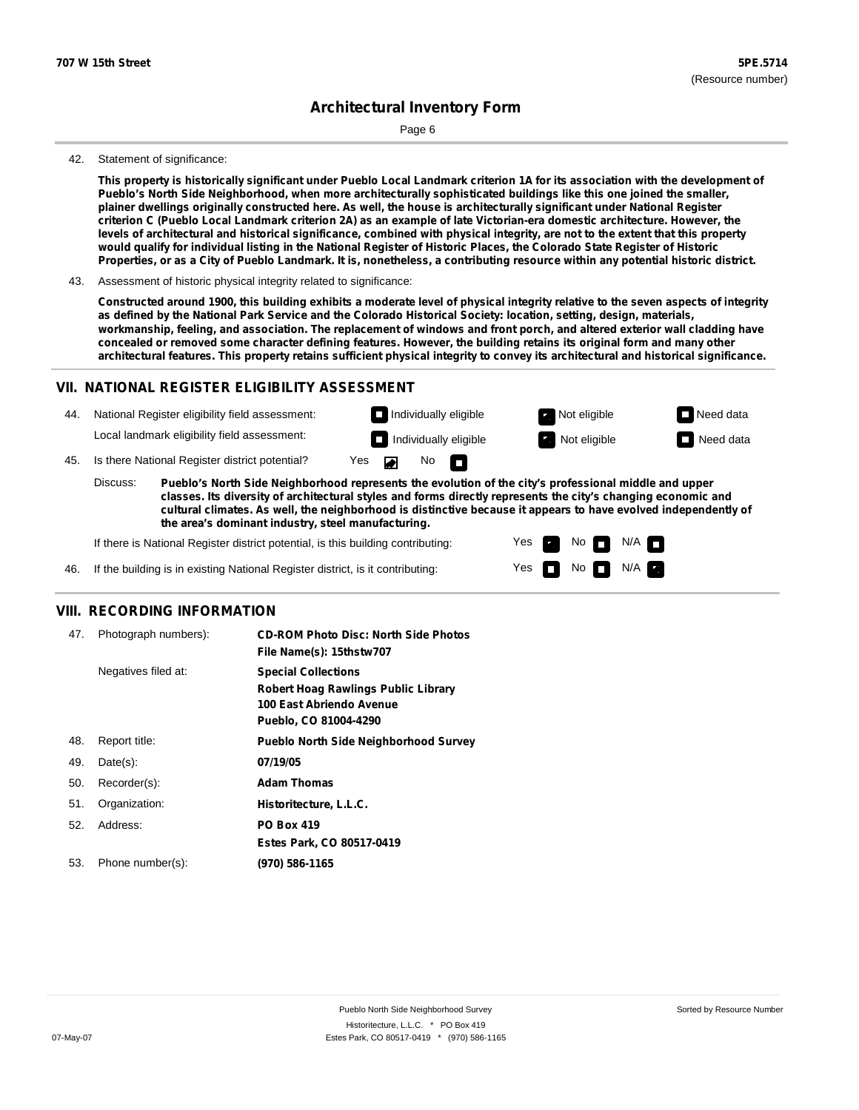Page 6

#### 42. Statement of significance:

This property is historically significant under Pueblo Local Landmark criterion 1A for its association with the development of **Pueblo's North Side Neighborhood, when more architecturally sophisticated buildings like this one joined the smaller,** plainer dwellings originally constructed here. As well, the house is architecturally significant under National Register criterion C (Pueblo Local Landmark criterion 2A) as an example of late Victorian-era domestic architecture. However, the levels of architectural and historical significance, combined with physical integrity, are not to the extent that this property would qualify for individual listing in the National Register of Historic Places, the Colorado State Register of Historic Properties, or as a City of Pueblo Landmark. It is, nonetheless, a contributing resource within any potential historic district.

43. Assessment of historic physical integrity related to significance:

Constructed around 1900, this building exhibits a moderate level of physical integrity relative to the seven aspects of integrity as defined by the National Park Service and the Colorado Historical Society: location, setting, design, materials, workmanship, feeling, and association. The replacement of windows and front porch, and altered exterior wall cladding have concealed or removed some character defining features. However, the building retains its original form and many other architectural features. This property retains sufficient physical integrity to convey its architectural and historical significance.

#### **VII. NATIONAL REGISTER ELIGIBILITY ASSESSMENT**

National Register eligibility field assessment: 44. Local landmark eligibility field assessment:

**Individually eligible Not eligible Not eligible Need data** No<sub>D</sub>  $\blacksquare$ 

**Individually eligible Not eligible** Not eligible **Need data** 

45. Is there National Register district potential? Yes

**Pueblo's North Side Neighborhood represents the evolution of the city's professional middle and upper classes. Its diversity of architectural styles and forms directly represents the city's changing economic and cultural climates. As well, the neighborhood is distinctive because it appears to have evolved independently of the area's dominant industry, steel manufacturing.** Discuss:

> Yes Yes

No

 $No$  N/A

 $N/A$   $\Box$ 

If there is National Register district potential, is this building contributing:



#### **VIII. RECORDING INFORMATION**

| 47. | Photograph numbers): | <b>CD-ROM Photo Disc: North Side Photos</b><br>File Name(s): 15thstw707                                                       |
|-----|----------------------|-------------------------------------------------------------------------------------------------------------------------------|
|     | Negatives filed at:  | <b>Special Collections</b><br><b>Robert Hoag Rawlings Public Library</b><br>100 East Abriendo Avenue<br>Pueblo, CO 81004-4290 |
| 48. | Report title:        | <b>Pueblo North Side Neighborhood Survey</b>                                                                                  |
| 49. | $Date(s)$ :          | 07/19/05                                                                                                                      |
| 50. | Recorder(s):         | <b>Adam Thomas</b>                                                                                                            |
| 51. | Organization:        | Historitecture, L.L.C.                                                                                                        |
| 52. | Address:             | <b>PO Box 419</b>                                                                                                             |
|     |                      | Estes Park, CO 80517-0419                                                                                                     |
| 53. | Phone number(s):     | (970) 586-1165                                                                                                                |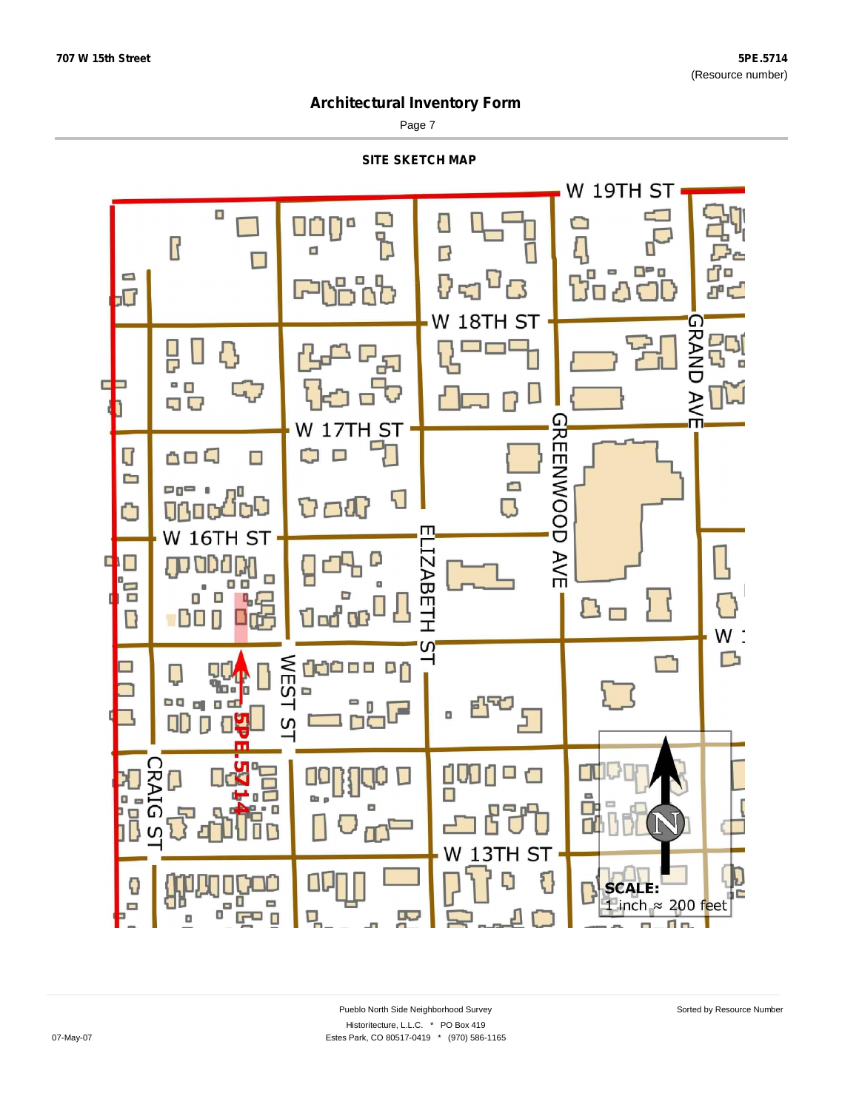Page 7